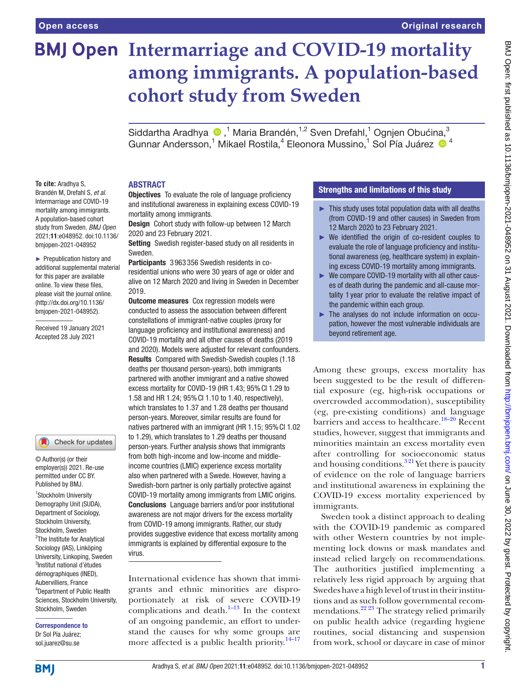# **BMJ Open Intermarriage and COVID-19 mortality among immigrants. A population-based cohort study from Sweden**

SiddarthaAradhya (D,<sup>1</sup> Maria Brandén,<sup>1,2</sup> Sven Drefahl,<sup>1</sup> Ognjen Obućina,<sup>3</sup> Gunnar Andersson,<sup>1</sup> Mikael Rostila,<sup>4</sup> Eleonora Mussino,<sup>1</sup> Sol Pía Juárez <sup>® 4</sup>

## ABSTRACT

**To cite:** Aradhya S, Brandén M, Drefahl S, *et al*. Intermarriage and COVID-19 mortality among immigrants. A population-based cohort study from Sweden. *BMJ Open* 2021;11:e048952. doi:10.1136/ bmjopen-2021-048952

► Prepublication history and additional supplemental material for this paper are available online. To view these files, please visit the journal online. (http://dx.doi.org/10.1136/ bmjopen-2021-048952).

Received 19 January 2021 Accepted 28 July 2021

#### Check for updates M

© Author(s) (or their employer(s)) 2021. Re-use permitted under CC BY. Published by BMJ.

<sup>1</sup>Stockholm University Demography Unit (SUDA), Department of Sociology, Stockholm University, Stockholm, Sweden <sup>2</sup>The Institute for Analytical Sociology (IAS), Linköping University, Linkoping, Sweden 3 Institut national d'études démographiques (INED), Aubervilliers, France 4 Department of Public Health Sciences, Stockholm University, Stockholm, Sweden

Correspondence to Dr Sol Pía Juárez; sol.juarez@su.se

**Objectives** To evaluate the role of language proficiency and institutional awareness in explaining excess COVID-19 mortality among immigrants.

Design Cohort study with follow-up between 12 March 2020 and 23 February 2021.

Setting Swedish register-based study on all residents in Sweden.

Participants 3963356 Swedish residents in coresidential unions who were 30 years of age or older and alive on 12 March 2020 and living in Sweden in December 2019.

**Outcome measures** Cox regression models were conducted to assess the association between different constellations of immigrant-native couples (proxy for language proficiency and institutional awareness) and COVID-19 mortality and all other causes of deaths (2019 and 2020). Models were adjusted for relevant confounders. Results Compared with Swedish-Swedish couples (1.18 deaths per thousand person-years), both immigrants partnered with another immigrant and a native showed excess mortality for COVID-19 (HR 1.43; 95%CI 1.29 to 1.58 and HR 1.24; 95%CI 1.10 to 1.40, respectively), which translates to 1.37 and 1.28 deaths per thousand person-years. Moreover, similar results are found for natives partnered with an immigrant (HR 1.15; 95%CI 1.02 to 1.29), which translates to 1.29 deaths per thousand person-years. Further analysis shows that immigrants from both high-income and low-income and middleincome countries (LMIC) experience excess mortality also when partnered with a Swede. However, having a Swedish-born partner is only partially protective against COVID-19 mortality among immigrants from LMIC origins. Conclusions Language barriers and/or poor institutional awareness are not major drivers for the excess mortality from COVID-19 among immigrants. Rather, our study provides suggestive evidence that excess mortality among immigrants is explained by differential exposure to the virus.

International evidence has shown that immigrants and ethnic minorities are disproportionately at risk of severe COVID-19 complications and death. $\frac{1-13}{1}$  In the context of an ongoing pandemic, an effort to understand the causes for why some groups are more affected is a public health priority.<sup>14–17</sup>

# Strengths and limitations of this study

- $\blacktriangleright$  This study uses total population data with all deaths (from COVID-19 and other causes) in Sweden from 12 March 2020 to 23 February 2021.
- ► We identified the origin of co-resident couples to evaluate the role of language proficiency and institutional awareness (eg, healthcare system) in explaining excess COVID-19 mortality among immigrants.
- ► We compare COVID-19 mortality with all other causes of death during the pandemic and all-cause mortality 1 year prior to evaluate the relative impact of the pandemic within each group.
- ► The analyses do not include information on occupation, however the most vulnerable individuals are beyond retirement age.

Among these groups, excess mortality has been suggested to be the result of differential exposure (eg, high-risk occupations or overcrowded accommodation), susceptibility (eg, pre-existing conditions) and language barriers and access to healthcare.<sup>18-20</sup> Recent studies, however, suggest that immigrants and minorities maintain an excess mortality even after controlling for socioeconomic status and housing conditions.<sup>321</sup> Yet there is paucity of evidence on the role of language barriers and institutional awareness in explaining the COVID-19 excess mortality experienced by immigrants.

Sweden took a distinct approach to dealing with the COVID-19 pandemic as compared with other Western countries by not implementing lock downs or mask mandates and instead relied largely on recommendations. The authorities justified implementing a relatively less rigid approach by arguing that Swedes have a high level of trust in their institutions and as such follow governmental recommendations.<sup>22 23</sup> The strategy relied primarily on public health advice (regarding hygiene routines, social distancing and suspension from work, school or daycare in case of minor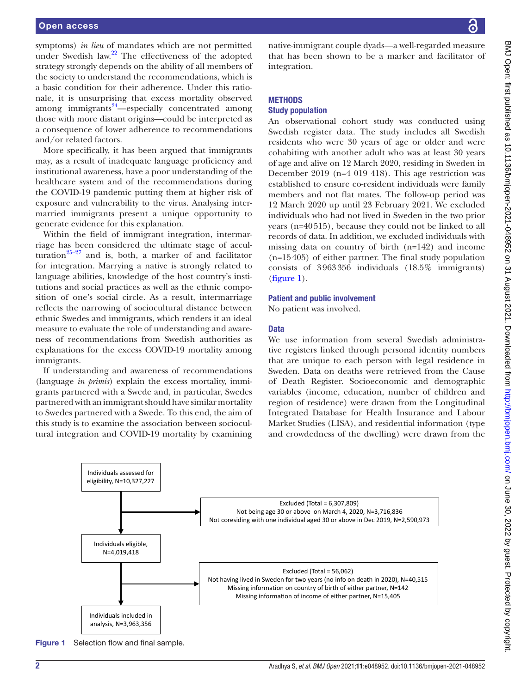symptoms) *in lieu* of mandates which are not permitted under Swedish law. $22$  The effectiveness of the adopted strategy strongly depends on the ability of all members of the society to understand the recommendations, which is a basic condition for their adherence. Under this rationale, it is unsurprising that excess mortality observed among immigrants $24$ —especially concentrated among those with more distant origins—could be interpreted as a consequence of lower adherence to recommendations and/or related factors.

More specifically, it has been argued that immigrants may, as a result of inadequate language proficiency and institutional awareness, have a poor understanding of the healthcare system and of the recommendations during the COVID-19 pandemic putting them at higher risk of exposure and vulnerability to the virus. Analysing intermarried immigrants present a unique opportunity to generate evidence for this explanation.

Within the field of immigrant integration, intermarriage has been considered the ultimate stage of acculturation $25-27$  and is, both, a marker of and facilitator for integration. Marrying a native is strongly related to language abilities, knowledge of the host country's institutions and social practices as well as the ethnic composition of one's social circle. As a result, intermarriage reflects the narrowing of sociocultural distance between ethnic Swedes and immigrants, which renders it an ideal measure to evaluate the role of understanding and awareness of recommendations from Swedish authorities as explanations for the excess COVID-19 mortality among immigrants.

If understanding and awareness of recommendations (language *in primis*) explain the excess mortality, immigrants partnered with a Swede and, in particular, Swedes partnered with an immigrant should have similar mortality to Swedes partnered with a Swede. To this end, the aim of this study is to examine the association between sociocultural integration and COVID-19 mortality by examining native-immigrant couple dyads—a well-regarded measure that has been shown to be a marker and facilitator of

#### **METHODS**

integration.

#### Study population

An observational cohort study was conducted using Swedish register data. The study includes all Swedish residents who were 30 years of age or older and were cohabiting with another adult who was at least 30 years of age and alive on 12 March 2020, residing in Sweden in December 2019 (n=4 019 418). This age restriction was established to ensure co-resident individuals were family members and not flat mates. The follow-up period was 12 March 2020 up until 23 February 2021. We excluded individuals who had not lived in Sweden in the two prior years (n=40515), because they could not be linked to all records of data. In addition, we excluded individuals with missing data on country of birth (n=142) and income (n=15405) of either partner. The final study population consists of 3963356 individuals (18.5% immigrants) [\(figure](#page-1-0) 1).

#### Patient and public involvement

No patient was involved.

#### Data

We use information from several Swedish administrative registers linked through personal identity numbers that are unique to each person with legal residence in Sweden. Data on deaths were retrieved from the Cause of Death Register. Socioeconomic and demographic variables (income, education, number of children and region of residence) were drawn from the Longitudinal Integrated Database for Health Insurance and Labour Market Studies (LISA), and residential information (type and crowdedness of the dwelling) were drawn from the



<span id="page-1-0"></span>Figure 1 Selection flow and final sample.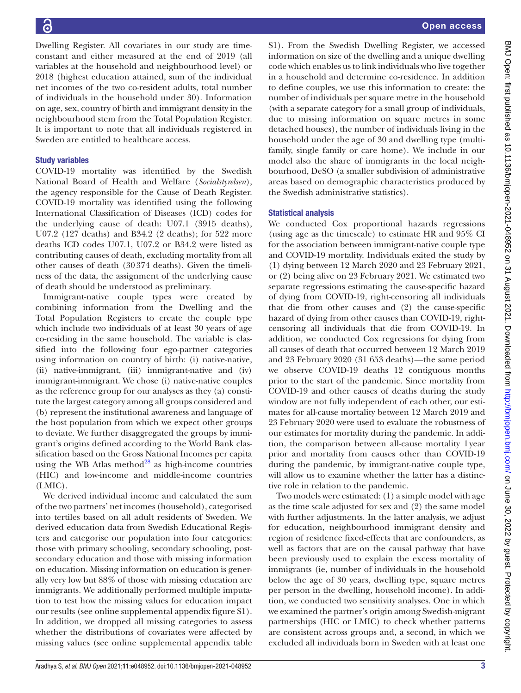Open access

Dwelling Register. All covariates in our study are timeconstant and either measured at the end of 2019 (all variables at the household and neighbourhood level) or 2018 (highest education attained, sum of the individual net incomes of the two co-resident adults, total number of individuals in the household under 30). Information on age, sex, country of birth and immigrant density in the neighbourhood stem from the Total Population Register. It is important to note that all individuals registered in Sweden are entitled to healthcare access.

# Study variables

COVID-19 mortality was identified by the Swedish National Board of Health and Welfare (*Socialstyrelsen*), the agency responsible for the Cause of Death Register. COVID-19 mortality was identified using the following International Classification of Diseases (ICD) codes for the underlying cause of death: U07.1 (3915 deaths), U07.2 (127 deaths) and B34.2 (2 deaths); for 522 more deaths ICD codes U07.1, U07.2 or B34.2 were listed as contributing causes of death, excluding mortality from all other causes of death (30374 deaths). Given the timeliness of the data, the assignment of the underlying cause of death should be understood as preliminary.

Immigrant-native couple types were created by combining information from the Dwelling and the Total Population Registers to create the couple type which include two individuals of at least 30 years of age co-residing in the same household. The variable is classified into the following four ego-partner categories using information on country of birth: (i) native-native, (ii) native-immigrant, (iii) immigrant-native and (iv) immigrant-immigrant. We chose (i) native-native couples as the reference group for our analyses as they (a) constitute the largest category among all groups considered and (b) represent the institutional awareness and language of the host population from which we expect other groups to deviate. We further disaggregated the groups by immigrant's origins defined according to the World Bank classification based on the Gross National Incomes per capita using the WB Atlas method $^{28}$  $^{28}$  $^{28}$  as high-income countries (HIC) and low-income and middle-income countries (LMIC).

We derived individual income and calculated the sum of the two partners' net incomes (household), categorised into tertiles based on all adult residents of Sweden. We derived education data from Swedish Educational Registers and categorise our population into four categories: those with primary schooling, secondary schooling, postsecondary education and those with missing information on education. Missing information on education is generally very low but 88% of those with missing education are immigrants. We additionally performed multiple imputation to test how the missing values for education impact our results (see [online supplemental appendix figure S1](https://dx.doi.org/10.1136/bmjopen-2021-048952)). In addition, we dropped all missing categories to assess whether the distributions of covariates were affected by missing values (see [online supplemental appendix table](https://dx.doi.org/10.1136/bmjopen-2021-048952)

[S1](https://dx.doi.org/10.1136/bmjopen-2021-048952)). From the Swedish Dwelling Register, we accessed information on size of the dwelling and a unique dwelling code which enables us to link individuals who live together in a household and determine co-residence. In addition to define couples, we use this information to create: the number of individuals per square metre in the household (with a separate category for a small group of individuals, due to missing information on square metres in some detached houses), the number of individuals living in the household under the age of 30 and dwelling type (multifamily, single family or care home). We include in our model also the share of immigrants in the local neighbourhood, DeSO (a smaller subdivision of administrative areas based on demographic characteristics produced by the Swedish administrative statistics).

# Statistical analysis

We conducted Cox proportional hazards regressions (using age as the timescale) to estimate HR and 95% CI for the association between immigrant-native couple type and COVID-19 mortality. Individuals exited the study by (1) dying between 12 March 2020 and 23 February 2021, or (2) being alive on 23 February 2021. We estimated two separate regressions estimating the cause-specific hazard of dying from COVID-19, right-censoring all individuals that die from other causes and (2) the cause-specific hazard of dying from other causes than COVID-19, rightcensoring all individuals that die from COVID-19. In addition, we conducted Cox regressions for dying from all causes of death that occurred between 12 March 2019 and 23 February 2020 (31 653 deaths)—the same period we observe COVID-19 deaths 12 contiguous months prior to the start of the pandemic. Since mortality from COVID-19 and other causes of deaths during the study window are not fully independent of each other, our estimates for all-cause mortality between 12 March 2019 and 23 February 2020 were used to evaluate the robustness of our estimates for mortality during the pandemic. In addition, the comparison between all-cause mortality 1year prior and mortality from causes other than COVID-19 during the pandemic, by immigrant-native couple type, will allow us to examine whether the latter has a distinctive role in relation to the pandemic.

Two models were estimated: (1) a simple model with age as the time scale adjusted for sex and (2) the same model with further adjustments. In the latter analysis, we adjust for education, neighbourhood immigrant density and region of residence fixed-effects that are confounders, as well as factors that are on the causal pathway that have been previously used to explain the excess mortality of immigrants (ie, number of individuals in the household below the age of 30 years, dwelling type, square metres per person in the dwelling, household income). In addition, we conducted two sensitivity analyses. One in which we examined the partner's origin among Swedish-migrant partnerships (HIC or LMIC) to check whether patterns are consistent across groups and, a second, in which we excluded all individuals born in Sweden with at least one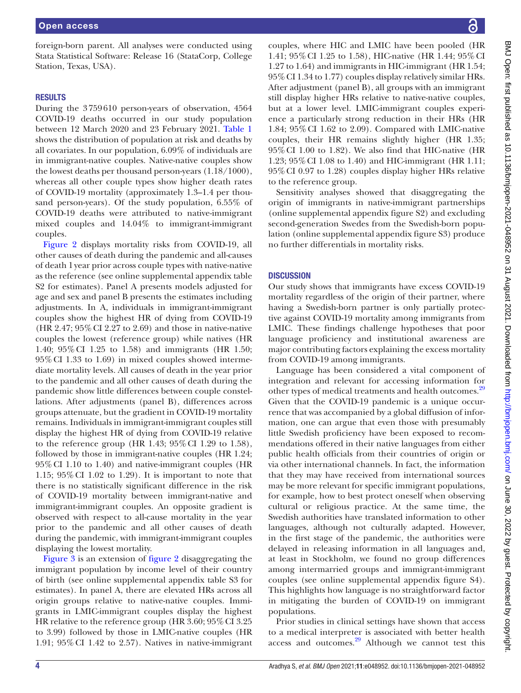foreign-born parent. All analyses were conducted using Stata Statistical Software: Release 16 (StataCorp, College Station, Texas, USA).

#### **RESULTS**

During the 3759610 person-years of observation, 4564 COVID-19 deaths occurred in our study population between 12 March 2020 and 23 February 2021. [Table](#page-4-0) 1 shows the distribution of population at risk and deaths by all covariates. In our population, 6.09% of individuals are in immigrant-native couples. Native-native couples show the lowest deaths per thousand person-years (1.18/1000), whereas all other couple types show higher death rates of COVID-19 mortality (approximately 1.3–1.4 per thousand person-years). Of the study population, 6.55% of COVID-19 deaths were attributed to native-immigrant mixed couples and 14.04% to immigrant-immigrant couples.

[Figure](#page-5-0) 2 displays mortality risks from COVID-19, all other causes of death during the pandemic and all-causes of death 1year prior across couple types with native-native as the reference (see [online supplemental appendix table](https://dx.doi.org/10.1136/bmjopen-2021-048952) [S2](https://dx.doi.org/10.1136/bmjopen-2021-048952) for estimates). Panel A presents models adjusted for age and sex and panel B presents the estimates including adjustments. In A, individuals in immigrant-immigrant couples show the highest HR of dying from COVID-19 (HR 2.47; 95%CI 2.27 to 2.69) and those in native-native couples the lowest (reference group) while natives (HR 1.40; 95%CI 1.25 to 1.58) and immigrants (HR 1.50; 95%CI 1.33 to 1.69) in mixed couples showed intermediate mortality levels. All causes of death in the year prior to the pandemic and all other causes of death during the pandemic show little differences between couple constellations. After adjustments (panel B), differences across groups attenuate, but the gradient in COVID-19 mortality remains. Individuals in immigrant-immigrant couples still display the highest HR of dying from COVID-19 relative to the reference group (HR 1.43;  $95\%$  CI 1.29 to 1.58), followed by those in immigrant-native couples (HR 1.24; 95%CI 1.10 to 1.40) and native-immigrant couples (HR 1.15; 95%CI 1.02 to 1.29). It is important to note that there is no statistically significant difference in the risk of COVID-19 mortality between immigrant-native and immigrant-immigrant couples. An opposite gradient is observed with respect to all-cause mortality in the year prior to the pandemic and all other causes of death during the pandemic, with immigrant-immigrant couples displaying the lowest mortality.

[Figure](#page-6-0) 3 is an extension of [figure](#page-5-0) 2 disaggregating the immigrant population by income level of their country of birth (see [online supplemental appendix table S3](https://dx.doi.org/10.1136/bmjopen-2021-048952) for estimates). In panel A, there are elevated HRs across all origin groups relative to native-native couples. Immigrants in LMIC-immigrant couples display the highest HR relative to the reference group (HR 3.60; 95% CI 3.25 to 3.99) followed by those in LMIC-native couples (HR 1.91; 95%CI 1.42 to 2.57). Natives in native-immigrant

couples, where HIC and LMIC have been pooled (HR 1.41; 95%CI 1.25 to 1.58), HIC-native (HR 1.44; 95%CI 1.27 to 1.64) and immigrants in HIC-immigrant (HR 1.54; 95%CI 1.34 to 1.77) couples display relatively similar HRs. After adjustment (panel B), all groups with an immigrant still display higher HRs relative to native-native couples, but at a lower level. LMIC-immigrant couples experience a particularly strong reduction in their HRs (HR 1.84; 95%CI 1.62 to 2.09). Compared with LMIC-native couples, their HR remains slightly higher (HR 1.35; 95%CI 1.00 to 1.82). We also find that HIC-native (HR 1.23; 95%CI 1.08 to 1.40) and HIC-immigrant (HR 1.11; 95%CI 0.97 to 1.28) couples display higher HRs relative to the reference group.

Sensitivity analyses showed that disaggregating the origin of immigrants in native-immigrant partnerships [\(online supplemental appendix figure S2\)](https://dx.doi.org/10.1136/bmjopen-2021-048952) and excluding second-generation Swedes from the Swedish-born population ([online supplemental appendix figure S3\)](https://dx.doi.org/10.1136/bmjopen-2021-048952) produce no further differentials in mortality risks.

## **DISCUSSION**

Our study shows that immigrants have excess COVID-19 mortality regardless of the origin of their partner, where having a Swedish-born partner is only partially protective against COVID-19 mortality among immigrants from LMIC. These findings challenge hypotheses that poor language proficiency and institutional awareness are major contributing factors explaining the excess mortality from COVID-19 among immigrants.

Language has been considered a vital component of integration and relevant for accessing information for other types of medical treatments and health outcomes.<sup>[29](#page-7-8)</sup> Given that the COVID-19 pandemic is a unique occurrence that was accompanied by a global diffusion of information, one can argue that even those with presumably little Swedish proficiency have been exposed to recommendations offered in their native languages from either public health officials from their countries of origin or via other international channels. In fact, the information that they may have received from international sources may be more relevant for specific immigrant populations, for example, how to best protect oneself when observing cultural or religious practice. At the same time, the Swedish authorities have translated information to other languages, although not culturally adapted. However, in the first stage of the pandemic, the authorities were delayed in releasing information in all languages and, at least in Stockholm, we found no group differences among intermarried groups and immigrant-immigrant couples (see [online supplemental appendix figure S4\)](https://dx.doi.org/10.1136/bmjopen-2021-048952). This highlights how language is no straightforward factor in mitigating the burden of COVID-19 on immigrant populations.

Prior studies in clinical settings have shown that access to a medical interpreter is associated with better health access and outcomes. $29$  Although we cannot test this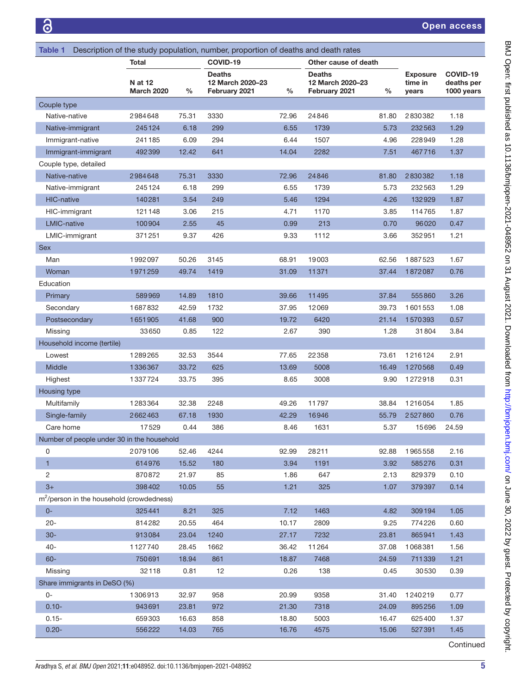<span id="page-4-0"></span>

| Description of the study population, number, proportion of deaths and death rates<br>Table 1 |                              |       |                                                    |               |                                             |               |                                     |                                      |  |  |
|----------------------------------------------------------------------------------------------|------------------------------|-------|----------------------------------------------------|---------------|---------------------------------------------|---------------|-------------------------------------|--------------------------------------|--|--|
|                                                                                              | Total                        |       | COVID-19                                           |               | Other cause of death                        |               |                                     |                                      |  |  |
|                                                                                              | <b>N</b> at 12<br>March 2020 | %     | <b>Deaths</b><br>12 March 2020-23<br>February 2021 | $\frac{0}{0}$ | Deaths<br>12 March 2020-23<br>February 2021 | $\frac{0}{0}$ | <b>Exposure</b><br>time in<br>years | COVID-19<br>deaths per<br>1000 years |  |  |
| Couple type                                                                                  |                              |       |                                                    |               |                                             |               |                                     |                                      |  |  |
| Native-native                                                                                | 2984648                      | 75.31 | 3330                                               | 72.96         | 24846                                       | 81.80         | 2830382                             | 1.18                                 |  |  |
| Native-immigrant                                                                             | 245124                       | 6.18  | 299                                                | 6.55          | 1739                                        | 5.73          | 232563                              | 1.29                                 |  |  |
| Immigrant-native                                                                             | 241185                       | 6.09  | 294                                                | 6.44          | 1507                                        | 4.96          | 228949                              | 1.28                                 |  |  |
| Immigrant-immigrant                                                                          | 492399                       | 12.42 | 641                                                | 14.04         | 2282                                        | 7.51          | 467716                              | 1.37                                 |  |  |
| Couple type, detailed                                                                        |                              |       |                                                    |               |                                             |               |                                     |                                      |  |  |
| Native-native                                                                                | 2984648                      | 75.31 | 3330                                               | 72.96         | 24846                                       | 81.80         | 2830382                             | 1.18                                 |  |  |
| Native-immigrant                                                                             | 245124                       | 6.18  | 299                                                | 6.55          | 1739                                        | 5.73          | 232563                              | 1.29                                 |  |  |
| <b>HIC-native</b>                                                                            | 140281                       | 3.54  | 249                                                | 5.46          | 1294                                        | 4.26          | 132929                              | 1.87                                 |  |  |
| HIC-immigrant                                                                                | 121148                       | 3.06  | 215                                                | 4.71          | 1170                                        | 3.85          | 114765                              | 1.87                                 |  |  |
| <b>LMIC-native</b>                                                                           | 100904                       | 2.55  | 45                                                 | 0.99          | 213                                         | 0.70          | 96020                               | 0.47                                 |  |  |
| LMIC-immigrant                                                                               | 371251                       | 9.37  | 426                                                | 9.33          | 1112                                        | 3.66          | 352951                              | 1.21                                 |  |  |
| <b>Sex</b>                                                                                   |                              |       |                                                    |               |                                             |               |                                     |                                      |  |  |
| Man                                                                                          | 1992097                      | 50.26 | 3145                                               | 68.91         | 19003                                       | 62.56         | 1887523                             | 1.67                                 |  |  |
| Woman                                                                                        | 1971259                      | 49.74 | 1419                                               | 31.09         | 11371                                       | 37.44         | 1872087                             | 0.76                                 |  |  |
| Education                                                                                    |                              |       |                                                    |               |                                             |               |                                     |                                      |  |  |
| Primary                                                                                      | 589969                       | 14.89 | 1810                                               | 39.66         | 11495                                       | 37.84         | 555860                              | 3.26                                 |  |  |
| Secondary                                                                                    | 1687832                      | 42.59 | 1732                                               | 37.95         | 12069                                       | 39.73         | 1601553                             | 1.08                                 |  |  |
| Postsecondary                                                                                | 1651905                      | 41.68 | 900                                                | 19.72         | 6420                                        | 21.14         | 1570393                             | 0.57                                 |  |  |
| Missing                                                                                      | 33650                        | 0.85  | 122                                                | 2.67          | 390                                         | 1.28          | 31804                               | 3.84                                 |  |  |
| Household income (tertile)                                                                   |                              |       |                                                    |               |                                             |               |                                     |                                      |  |  |
| Lowest                                                                                       | 1289265                      | 32.53 | 3544                                               | 77.65         | 22358                                       | 73.61         | 1216124                             | 2.91                                 |  |  |
| Middle                                                                                       | 1336367                      | 33.72 | 625                                                | 13.69         | 5008                                        | 16.49         | 1270568                             | 0.49                                 |  |  |
| Highest                                                                                      | 1337724                      | 33.75 | 395                                                | 8.65          | 3008                                        | 9.90          | 1272918                             | 0.31                                 |  |  |
| Housing type                                                                                 |                              |       |                                                    |               |                                             |               |                                     |                                      |  |  |
| Multifamily                                                                                  | 1283364                      | 32.38 | 2248                                               | 49.26         | 11797                                       | 38.84         | 1216054                             | 1.85                                 |  |  |
| Single-family                                                                                | 2662463                      | 67.18 | 1930                                               | 42.29         | 16946                                       | 55.79         | 2527860                             | 0.76                                 |  |  |
| Care home                                                                                    | 17529                        | 0.44  | 386                                                | 8.46          | 1631                                        | 5.37          | 15696                               | 24.59                                |  |  |
| Number of people under 30 in the household                                                   |                              |       |                                                    |               |                                             |               |                                     |                                      |  |  |
| 0                                                                                            | 2079106                      | 52.46 | 4244                                               | 92.99         | 28211                                       | 92.88         | 1965558                             | 2.16                                 |  |  |
| $\mathbf{1}$                                                                                 | 614976                       | 15.52 | 180                                                | 3.94          | 1191                                        | 3.92          | 585276                              | 0.31                                 |  |  |
| $\overline{2}$                                                                               | 870872                       | 21.97 | 85                                                 | 1.86          | 647                                         | 2.13          | 829379                              | 0.10                                 |  |  |
| $3+$                                                                                         | 398402                       | 10.05 | 55                                                 | 1.21          | 325                                         | 1.07          | 379397                              | 0.14                                 |  |  |
| m <sup>2</sup> /person in the household (crowdedness)                                        |                              |       |                                                    |               |                                             |               |                                     |                                      |  |  |
| $0-$                                                                                         | 325441                       | 8.21  | 325                                                | 7.12          | 1463                                        | 4.82          | 309194                              | 1.05                                 |  |  |
| $20 -$                                                                                       | 814282                       | 20.55 | 464                                                | 10.17         | 2809                                        | 9.25          | 774226                              | 0.60                                 |  |  |
| $30-$                                                                                        | 913084                       | 23.04 | 1240                                               | 27.17         | 7232                                        | 23.81         | 865941                              | 1.43                                 |  |  |
| $40 -$                                                                                       | 1127740                      | 28.45 | 1662                                               | 36.42         | 11264                                       | 37.08         | 1068381                             | 1.56                                 |  |  |
| $60 -$                                                                                       | 750691                       | 18.94 | 861                                                | 18.87         | 7468                                        | 24.59         | 711339                              | 1.21                                 |  |  |
| Missing                                                                                      | 32118                        | 0.81  | 12                                                 | 0.26          | 138                                         | 0.45          | 30530                               | 0.39                                 |  |  |
| Share immigrants in DeSO (%)                                                                 |                              |       |                                                    |               |                                             |               |                                     |                                      |  |  |
| 0-                                                                                           | 1306913                      | 32.97 | 958                                                | 20.99         | 9358                                        | 31.40         | 1240219                             | 0.77                                 |  |  |
| $0.10 -$                                                                                     | 943691                       | 23.81 | 972                                                | 21.30         | 7318                                        | 24.09         | 895256                              | 1.09                                 |  |  |
| $0.15 -$                                                                                     | 659303                       | 16.63 | 858                                                | 18.80         | 5003                                        | 16.47         | 625400                              | 1.37                                 |  |  |
| $0.20 -$                                                                                     | 556222                       | 14.03 | 765                                                | 16.76         | 4575                                        | 15.06         | 527391                              | 1.45                                 |  |  |
|                                                                                              |                              |       |                                                    |               |                                             |               |                                     | Continued                            |  |  |

BMJ Open: first published as 10.1136/bmjopen-2021-048952 on 31 August 2021. Downloaded from http://bmjopen.bmj.com/ on June 30, 2022 by guest. Protected by copyright. BMJ Open: first published as 10.1136/bmjopen-2021-048952 on 31 August 2021. Downloaded from <http://bmjopen.bmj.com/> on June 30, 2022 by guest. Protected by copyright.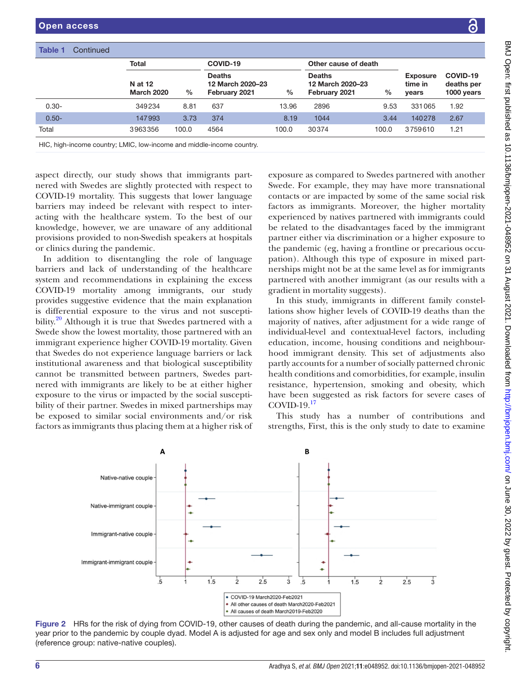|          | <b>Total</b>                 |       | COVID-19                                           |       | Other cause of death                               |               |                                     |                                      |
|----------|------------------------------|-------|----------------------------------------------------|-------|----------------------------------------------------|---------------|-------------------------------------|--------------------------------------|
|          | N at 12<br><b>March 2020</b> | $\%$  | <b>Deaths</b><br>12 March 2020-23<br>February 2021 | %     | <b>Deaths</b><br>12 March 2020-23<br>February 2021 | $\frac{0}{0}$ | <b>Exposure</b><br>time in<br>years | COVID-19<br>deaths per<br>1000 years |
| $0.30 -$ | 349234                       | 8.81  | 637                                                | 13.96 | 2896                                               | 9.53          | 331065                              | 1.92                                 |
| $0.50 -$ | 147993                       | 3.73  | 374                                                | 8.19  | 1044                                               | 3.44          | 140278                              | 2.67                                 |
| Total    | 3963356                      | 100.0 | 4564                                               | 100.0 | 30374                                              | 100.0         | 3759610                             | 1.21                                 |

HIC, high-income country; LMIC, low-income and middle-income country.

aspect directly, our study shows that immigrants partnered with Swedes are slightly protected with respect to COVID-19 mortality. This suggests that lower language barriers may indeed be relevant with respect to interacting with the healthcare system. To the best of our knowledge, however, we are unaware of any additional provisions provided to non-Swedish speakers at hospitals or clinics during the pandemic.

In addition to disentangling the role of language barriers and lack of understanding of the healthcare system and recommendations in explaining the excess COVID-19 mortality among immigrants, our study provides suggestive evidence that the main explanation is differential exposure to the virus and not susceptibility.<sup>20</sup> Although it is true that Swedes partnered with a Swede show the lowest mortality, those partnered with an immigrant experience higher COVID-19 mortality. Given that Swedes do not experience language barriers or lack institutional awareness and that biological susceptibility cannot be transmitted between partners, Swedes partnered with immigrants are likely to be at either higher exposure to the virus or impacted by the social susceptibility of their partner. Swedes in mixed partnerships may be exposed to similar social environments and/or risk factors as immigrants thus placing them at a higher risk of

exposure as compared to Swedes partnered with another Swede. For example, they may have more transnational contacts or are impacted by some of the same social risk factors as immigrants. Moreover, the higher mortality experienced by natives partnered with immigrants could be related to the disadvantages faced by the immigrant partner either via discrimination or a higher exposure to the pandemic (eg, having a frontline or precarious occupation). Although this type of exposure in mixed partnerships might not be at the same level as for immigrants partnered with another immigrant (as our results with a gradient in mortality suggests).

In this study, immigrants in different family constellations show higher levels of COVID-19 deaths than the majority of natives, after adjustment for a wide range of individual-level and contextual-level factors, including education, income, housing conditions and neighbourhood immigrant density. This set of adjustments also partly accounts for a number of socially patterned chronic health conditions and comorbidities, for example, insulin resistance, hypertension, smoking and obesity, which have been suggested as risk factors for severe cases of COVID-19. $17$ 

This study has a number of contributions and strengths, First, this is the only study to date to examine



<span id="page-5-0"></span>Figure 2 HRs for the risk of dying from COVID-19, other causes of death during the pandemic, and all-cause mortality in the year prior to the pandemic by couple dyad. Model A is adjusted for age and sex only and model B includes full adjustment (reference group: native-native couples).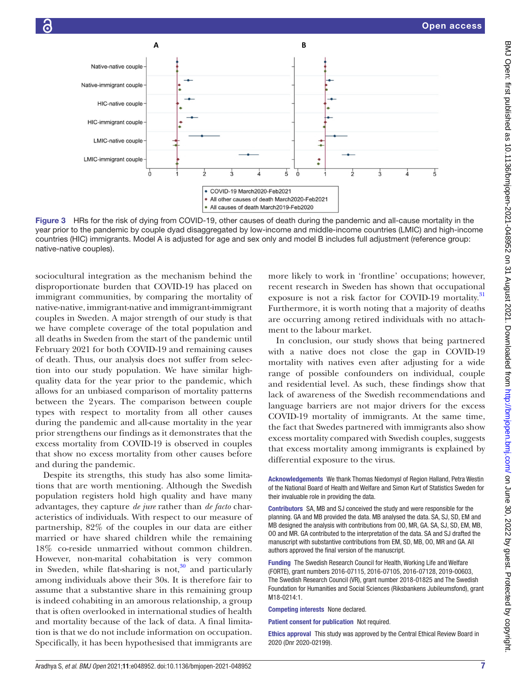

<span id="page-6-0"></span>Figure 3 HRs for the risk of dying from COVID-19, other causes of death during the pandemic and all-cause mortality in the year prior to the pandemic by couple dyad disaggregated by low-income and middle-income countries (LMIC) and high-income countries (HIC) immigrants. Model A is adjusted for age and sex only and model B includes full adjustment (reference group: native-native couples).

sociocultural integration as the mechanism behind the disproportionate burden that COVID-19 has placed on immigrant communities, by comparing the mortality of native-native, immigrant-native and immigrant-immigrant couples in Sweden. A major strength of our study is that we have complete coverage of the total population and all deaths in Sweden from the start of the pandemic until February 2021 for both COVID-19 and remaining causes of death. Thus, our analysis does not suffer from selection into our study population. We have similar highquality data for the year prior to the pandemic, which allows for an unbiased comparison of mortality patterns between the 2years. The comparison between couple types with respect to mortality from all other causes during the pandemic and all-cause mortality in the year prior strengthens our findings as it demonstrates that the excess mortality from COVID-19 is observed in couples that show no excess mortality from other causes before and during the pandemic.

Despite its strengths, this study has also some limitations that are worth mentioning. Although the Swedish population registers hold high quality and have many advantages, they capture *de jure* rather than *de facto* characteristics of individuals. With respect to our measure of partnership, 82% of the couples in our data are either married or have shared children while the remaining 18% co-reside unmarried without common children. However, non-marital cohabitation is very common in Sweden, while flat-sharing is not, $30$  and particularly among individuals above their 30s. It is therefore fair to assume that a substantive share in this remaining group is indeed cohabiting in an amorous relationship, a group that is often overlooked in international studies of health and mortality because of the lack of data. A final limitation is that we do not include information on occupation. Specifically, it has been hypothesised that immigrants are

more likely to work in 'frontline' occupations; however, recent research in Sweden has shown that occupational exposure is not a risk factor for COVID-19 mortality.<sup>[31](#page-7-12)</sup> Furthermore, it is worth noting that a majority of deaths are occurring among retired individuals with no attachment to the labour market.

In conclusion, our study shows that being partnered with a native does not close the gap in COVID-19 mortality with natives even after adjusting for a wide range of possible confounders on individual, couple and residential level. As such, these findings show that lack of awareness of the Swedish recommendations and language barriers are not major drivers for the excess COVID-19 mortality of immigrants. At the same time, the fact that Swedes partnered with immigrants also show excess mortality compared with Swedish couples, suggests that excess mortality among immigrants is explained by differential exposure to the virus.

Acknowledgements We thank Thomas Niedomysl of Region Halland, Petra Westin of the National Board of Health and Welfare and Simon Kurt of Statistics Sweden for their invaluable role in providing the data.

Contributors SA, MB and SJ conceived the study and were responsible for the planning. GA and MB provided the data. MB analysed the data. SA, SJ, SD, EM and MB designed the analysis with contributions from OO, MR, GA. SA, SJ, SD, EM, MB, OO and MR. GA contributed to the interpretation of the data. SA and SJ drafted the manuscript with substantive contributions from EM, SD, MB, OO, MR and GA. All authors approved the final version of the manuscript.

Funding The Swedish Research Council for Health, Working Life and Welfare (FORTE), grant numbers 2016-07115, 2016-07105, 2016-07128, 2019-00603, The Swedish Research Council (VR), grant number 2018-01825 and The Swedish Foundation for Humanities and Social Sciences (Riksbankens Jubileumsfond), grant M18-0214:1.

Competing interests None declared.

Patient consent for publication Not required.

Ethics approval This study was approved by the Central Ethical Review Board in 2020 (Dnr 2020-02199).